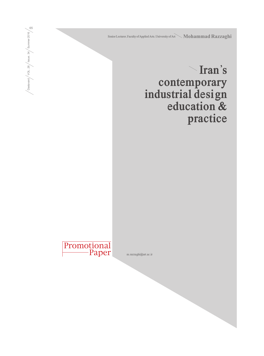Senior Lecturer, Faculty of Applied Arts, University of Art Mohammad Razzaghi

**Iran's contemporary industrial design education & practice** 

Promotional Paper **m.razzaghi@art.ac.ir**

Dastavard / VOL. 26 / Issue. 34 / Summer 2016  $\left/ \frac{\text{Deslaved}}{\text{VOL}.26} \middle/ \frac{\text{issue. } 34}{\text{Summer 2016}} \middle/ \frac{\text{S} }{\text{G}} \right.$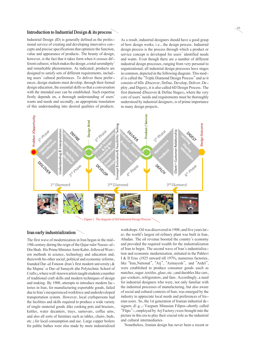## **Introduction to Industrial Design & its process**

Industrial Design (ID) is generally defined as the profes- sional service of creating and developing innovative con- cepts and precise specifications that optimize the function, value and appearance of products. The beauty of design, however, is the fact that it takes form when it crosses different cultures; which makes the design, a total serendipity<sup>1</sup> and remarkable phenomenon. As indicated, products are designed to satisfy sets of different requirements, including users' cultural preferences. To deliver these prefer-<br>ences, design students must develop, through their formal design education, the essential skills so that a conversation with the intended user can be established. Such expertise firstly depends on, a thorough understanding of users' wants and needs and secondly, an appropriate translation of this understanding into desired qualities of products.

As a result, industrial designers should have a good grasp of how design works; i.e., the design process. Industrial design process is the process through which a product or service concept is developed for users' identified needs and wants. Even though there are a number of different industrial design processes, ranging from very personal to organizational; all industrial design processes have stages in common, depicted in the following diagram. This model is called the "Triple Diamond Design Process" and as it consists of 6Ds (Discover, Define, Develop, Deliver, Deploy, and Digest), it is also called 6D Design Process. The first diamond (Discover & Define Stages), where the very core of users' needs and requirements must be thoroughly understood by industrial designers, is of prime importance in many design projects.



Figure 1. The diagram of 6D Industrial Design Process

## **Iran early industrialization**

The first wave of modernization in Iran began in the mid-19th century during the reign of the Qajar ruler Nasser-alern methods in science, technology and education and, therewith his other social, political and economic reforms, founded Dar-al Fonoon (Iran's first modern university) & the Majma'-e Dar-al Sanayeh (the Polytechnic School of Crafts), where well-known artists taught students a number of traditional craft skills and modern techniques of design and making. By 1900, attempts to introduce modern factories in Iran, for manufacturing exportable goods, failed due to Iran's inexperienced workforce and underdeveloped transportation system. However, local craftspersons had the facilities and skills required to produce a wide variety of single-material goods (like cooking pots and braziers, kettles, water decanters, trays, samovars, coffee urns, and also all sorts of furniture such as tables, chairs, beds, etc.) for local consumption and use. Large copper boilers for public bathes were also made by more industrialized workshops. Oil was discovered in 1908, and five years later, the world's largest oil refinery plant was built in Iran, Abadan. The oil revenue boosted the country's economy and provided the required wealth for the industrialization of Iran to begin. The second wave of Iran's industrialization and economic modernization, initiated in the Pahlavi I & II Eras (1925 onward till 1979), numerous factories, like "Iran\_National", "Arj", "Azmayesh", and "Ardel", were established to produce consumer goods (such as matches, sugar, textiles, glass, etc.) and durables like cars, gas-cookers, refrigerators, and fans. Accordingly, a need for industrial designers who were, not only familiar with the industrial processes of manufacturing, but also aware of social and cultural contexts of Iran, was emerged by the nian users. So, the 1st generation of Iranian industrial de-<br>signers.  $(E.g.,: Vazguen$  Minasian Filipos-shortly called "Flipo"-, employed by Arj Factory) were brought into the picture in this era to play their crucial role as the industrial and cultural intermediaries.

Nonetheless, Iranian design has never been a recent or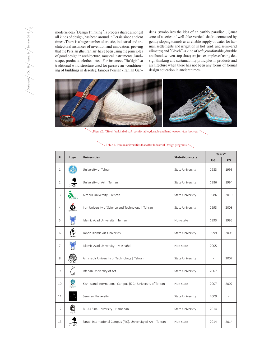modern idea: "Design Thinking", a process shared amongst all kinds of design, has been around in Persia since ancient times. There is a huge number of artistic, industrial and architectural instances of invention and innovation, proving that the Persian (the Iranian) have been using the principles of good design in architecture, musical instruments, landscape, products, clothes, etc.: For instance, "Ba'dgir" (a traditional wind structure used for passive air-conditioning of buildings in deserts), famous Persian/Iranian Gardens (symbolizes the idea of an earthly paradise), Qanat (one of a series of well-like vertical shafts, connected by gently sloping tunnels as a reliable supply of water for human settlements and irrigation in hot, arid, and semi-arid climates) and "Giveh" (a kind of soft, comfortable, durable and hand-woven-top shoe) are just examples of using design thinking and sustainability principles in products and architecture when there has not been any forms of formal design education in ancient times.



Figure 2. "Giveh": a kind of soft, comfortable, durable and hand-woven-top footwear

| #              | Logo                     | <b>Universities</b>                                           | State/Non-state  | Years~    |      |
|----------------|--------------------------|---------------------------------------------------------------|------------------|-----------|------|
|                |                          |                                                               |                  | <b>UG</b> | PG   |
| $\mathbf{1}$   |                          | University of Tehran                                          | State University | 1983      | 1993 |
| 2              | $\overline{\mathscr{L}}$ | University of Art   Tehran                                    | State University | 1986      | 1994 |
| 3              | Docto                    | Alzahra University   Tehran                                   | State University | 1986      | 2010 |
| $\overline{4}$ |                          | Iran University of Science and Technology   Tehran            | State University | 1993      | 2008 |
| 5              |                          | Islamic Azad University   Tehran                              | Non-state        | 1993      | 1995 |
| 6              | ◎                        | Tabriz Islamic Art University                                 | State University | 1999      | 2005 |
| $\overline{7}$ |                          | Islamic Azad University   Mashahd                             | Non-state        | 2005      |      |
| 8              |                          | Amirkabir University of Technology   Tehran                   | State University |           | 2007 |
| $\overline{9}$ |                          | Isfahan University of Art                                     | State University | 2007      |      |
| 10             | $\frac{1}{2}$            | Kish-island International Campus (KIC), University of Tehran  | Non-state        | 2007      | 2007 |
| 11             |                          | Semnan University                                             | State University | 2009      |      |
| 12             | بمذبيب                   | Bu-Ali Sina University   Hamedan                              | State University | 2014      |      |
| 13             |                          | Farabi International Campus (FIC), University of Art   Tehran | Non-state        | 2014      | 2014 |

 $\sim$  Table 1. Iranian universities that offer Industrial Design programs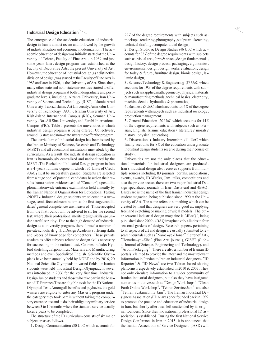## **Industrial Design Education**

The emergence of the academic education of industrial design in Iran is almost recent and followed by the growth of industrialization and economic modernization. The academic education of design was initially started at the Uni-<br>versity of Tehran, Faculty of Fine Arts, in 1969 and just some years later, design program was established at the Faculty of Decorative Arts; the present University of Art. However, the education of industrial design, as a distinctive division of design, was started at the Faculty of Fine Arts in 1983 and later in 1986, at the University of Art. Since then, many other state and non-state universities started to offer industrial design program at both undergraduate and postgraduate levels, including: Alzahra University, Iran University of Science and Technology (IUST), Islamic Azad<br>University, Tabriz Islamic Art University, Amirkabir University of Technology (AUT), Isfahan University of Art, Kish-island International Campus (KIC), Semnan University, Bu-Ali Sina University, and Farabi International Campus (FIC). Table 1 presents the universities at which industrial design program is being offered. Collectively, around 13 state and non-state uversities offer the program.

The curriculum of industrial design has been issued by the Iranian Ministry of Science, Research and Technology (MSRT) and all educational institutions must abide by the curriculum. As a result, the industrial design education in Iran is harmoniously centralized and nationalized by the MSRT. The Bachelor of Industrial Design program in Iran is a 4-years fulltime degree in which 135 Units of Credit (UoC) must be successfully passed. Students are selected sults from a nation-wide test, called "Concour"; a post-di-<br>ploma nationwide entrance examination held annually by the Iranian National Organization for Educational Testing (NOET). Industrial design students are selected in a two-<br>stage, semi-focused examination: at the first stage, candidates' general competences are measured. Those accepted from the first round, will be advised to sit for the second test; where, their professional merits (design skills) go under careful scrutiny. Due to the high demand of industrial design as a university program, there formed a number of private schools (E.g. 3rd Design Academy) offering skills and pieces of knowledge for competitors. These private academies offer subjects related to design skills necessary for succeeding in the national test. Courses include: Hybrid sketching, Ergonomics, Materials and Manufacturing methods and even Specialized English. Scientific Olympiads have been annually held by NOET and by 2016, 20 National Scientific Olympiads in varied fields for Iranian students were held. Industrial Design Olympiad, however was introduced in 2006 for the very first time. Industrial Design Junior students and those who take part in the Master of ID Entrance Test are eligible to sit for the ID National Olympiad Test. Among all benefits and paybacks, the gold winners are eligible to enter any Master's program under the category they took part in without taking the compulsory entrance test and to do their obligatory military service between 3 to 10 months where the standard service usually takes 2 years to be completed.

The structure of the ID curriculum consists of six major subject areas as follows:

1. Design Communication (30 UoC which accounts for

22% of the degree requirements with subjects such as: mockups, rendering, photography, sculpture, sketching, technical drafting, computer aided design)

2. Design Studio & Design Studies (46 UoC which accounts for 33% of the degree requirements with subjects such as: visual arts, form & space, design fundamentals, design history, design process, packaging, ergonomics, environmental design, design works evaluation, design for today & future, furniture design, bionic design, Is- lamic design)

3. Science, Technology & Engineering (27 UoC which accounts for 19% of the degree requirements with subjects such as: applied math, geometry, physics, materials & manufacturing methods, technical basics, electricity, machine details, hydraulics & pneumatics)

4. Business (5 UoC which accounts for 4% of the degree requirements with subjects such as: industrial sociology, production management)

5. General Education (20 UoC which accounts for 14% of the degree requirements with subjects such as: Persian, English, Islamic education/ literature/ morals/ history, physical education)

6. Dissertation + Industry Internship (11 UoC which finally accounts for 8% of the education undergraduate industrial design students receive during their course of

Universities are not the only places that the educa-<br>tional materials for industrial designers are produced.<br>Iran's industrial design also receives supports from multiple sources including ID journals, portals, associations, events, awards, ID Weeks, Jam, talks, competitions and also the private sector: there are two major Industrial Design specialized journals in Iran: Dastavard and 4BAQ. Dastavard is the name of the first Iranian industrial design student magazine, being published since 1990 at the University of Art. The name refers to something which can be created by hand that designers are very good at, implying freehand sketching or making physical models. The other seasonal industrial design magazine is "4BAQ", being published since 2009. 4BAQ imaginatively alludes to four seasonal gardens of design. Research papers, pertaining to all aspects of art and design are usually submitted to research journals such as "Name-ye-Honar" (Letter of Art), "Honarha-ye-Ziba" (Fine Arts journal), GJSET (Global Journal of Science, Engineering and Technology), and "Art of Packaging". There are also a number of Iranian ID portals, claimed to provide the latest and the most relevant information in Persian to Iranian industrial designers. "ID Reporter" & "ID News" are two Tehran-based sharing platforms, respectively established in 2010 & 2007. They not only circulate information to a wider community of Iranian industrial designers, but also they have instigated numerous initiatives such as "Design Workshops", "Clean Earth Online Workshop", "Tehran Service Jam" and also "Tehran Sustainability Jam". The Iranian Industrial Designers Association (IIDA) was once founded back in 1992 to promote the practice and education of industrial design in Iran, but shortly after, was left unattended by its original founders. Since then, no national professional ID association is established. During the first National Service Design Conference in Iran in 2015, it is announced that the Iranian Association of Service Designers (IASD) will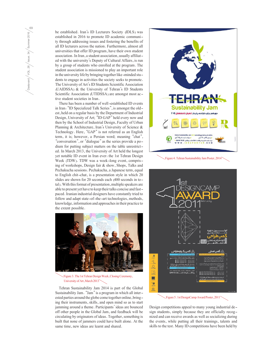be established. Iran's ID Lecturers Society (IDLS) was established in 2016 to promote ID academic community through addressing issues and fostering the benefits of all ID lecturers across the nation. Furthermore, almost all universities that offer ID program, have their own student association. In Iran, a student association, usually affiliated with the university's Deputy of Cultural Affairs, is run by a group of students who enrolled at the program. The student association is missioned to play an important role in the university life by bringing together like-minded students to engage in activities the society seeks to promote. The University of Art's ID Students Scientific Association (UAIDSSA) & the University of Tehran's ID Students Scientific Association (UTIDSSA) are amongst most active student societies in Iran.

There has been a number of well-established ID events in Iran: "ID Specialized Talk Series", is amongst the oldest, held on a regular basis by the Department of Industrial Design, University of Art; "ID GAP" held every now and then by the School of Industrial Design, Faculty of Urban Planning & Architecture, Iran's University of Science & Technology. Here, "GAP" is not referred as an English term, it is; however, a Persian word; meaning "chat", "conversation", or "dialogue" as the series provide a podium for putting subject matters on the table unrestricted. In March 2013, the University of Art held the longest yet notable ID event in Iran ever: the 1st Tehran Design Week (TDW). TDW was a week-long event, comprising of workshops, Design fair & show, Shops, Talks and Pechakucha sessions. Pechakucha, a Japanese term, equal to English chit-chat, is a presentation style in which 20 slides are shown for 20 seconds each (400 seconds in total). With this format of presentation, multiple speakers are able to present yet have to keep their talks concise and fastpaced. Iranian industrial designers have constantly tried to follow and adapt state-of-the-art technologies, methods, knowledge, information and approaches in their practice to the extent possible.



Figure 3. The 1st Tehran Design Week, Closing Ceremony, University of Art, March 2013

Tehran Sustainability Jam 2014 is part of the Global ested parties around the globe come together online, bringing their instruments, skills, and open mind so as to start jamming around a theme. Participants' ideas are bounced off other people in the Global Jam, and feedback will be circulating by originators of ideas. Together, something is built that none of jammers could have built alone. At the same time, new ideas are learnt and shared.





Figure 5. 1st DesignCamp Award Poster, 2011

Design competitions appeal to many young industrial design students, simply because they are officially recognized and can receive awards as well as socializing during the events, while putting all their trainings, talents and skills to the test. Many ID competitions have been held by